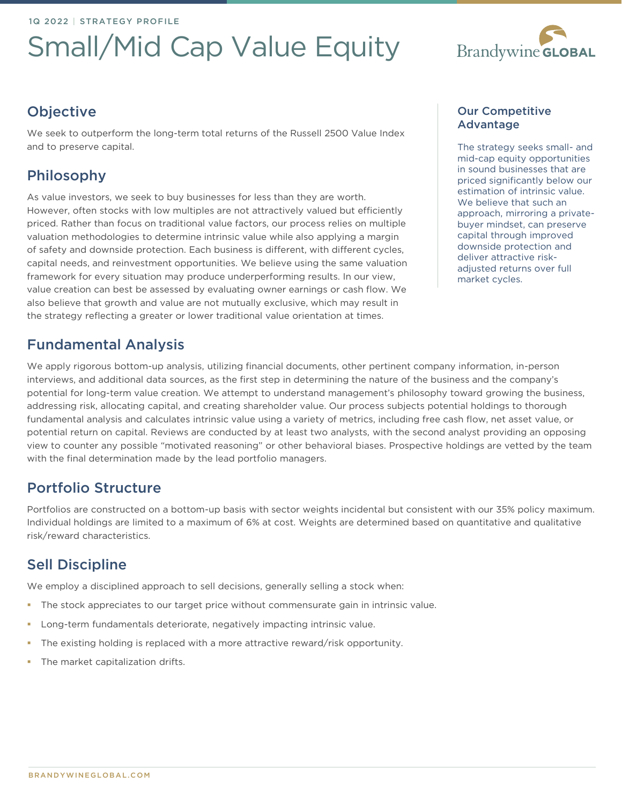# Small/Mid Cap Value Equity



# **Objective**

We seek to outperform the long-term total returns of the Russell 2500 Value Index and to preserve capital.

# Philosophy

As value investors, we seek to buy businesses for less than they are worth. However, often stocks with low multiples are not attractively valued but efficiently priced. Rather than focus on traditional value factors, our process relies on multiple valuation methodologies to determine intrinsic value while also applying a margin of safety and downside protection. Each business is different, with different cycles, capital needs, and reinvestment opportunities. We believe using the same valuation framework for every situation may produce underperforming results. In our view, value creation can best be assessed by evaluating owner earnings or cash flow. We also believe that growth and value are not mutually exclusive, which may result in the strategy reflecting a greater or lower traditional value orientation at times.

# Fundamental Analysis

We apply rigorous bottom-up analysis, utilizing financial documents, other pertinent company information, in-person interviews, and additional data sources, as the first step in determining the nature of the business and the company's potential for long-term value creation. We attempt to understand management's philosophy toward growing the business, addressing risk, allocating capital, and creating shareholder value. Our process subjects potential holdings to thorough fundamental analysis and calculates intrinsic value using a variety of metrics, including free cash flow, net asset value, or potential return on capital. Reviews are conducted by at least two analysts, with the second analyst providing an opposing view to counter any possible "motivated reasoning" or other behavioral biases. Prospective holdings are vetted by the team with the final determination made by the lead portfolio managers.

# Portfolio Structure

Portfolios are constructed on a bottom-up basis with sector weights incidental but consistent with our 35% policy maximum. Individual holdings are limited to a maximum of 6% at cost. Weights are determined based on quantitative and qualitative risk/reward characteristics.

# Sell Discipline

We employ a disciplined approach to sell decisions, generally selling a stock when:

- **•** The stock appreciates to our target price without commensurate gain in intrinsic value.
- **•** Long-term fundamentals deteriorate, negatively impacting intrinsic value.
- The existing holding is replaced with a more attractive reward/risk opportunity.
- The market capitalization drifts.

## Our Competitive Advantage

The strategy seeks small- and mid-cap equity opportunities in sound businesses that are priced significantly below our estimation of intrinsic value. We believe that such an approach, mirroring a privatebuyer mindset, can preserve capital through improved downside protection and deliver attractive riskadjusted returns over full market cycles.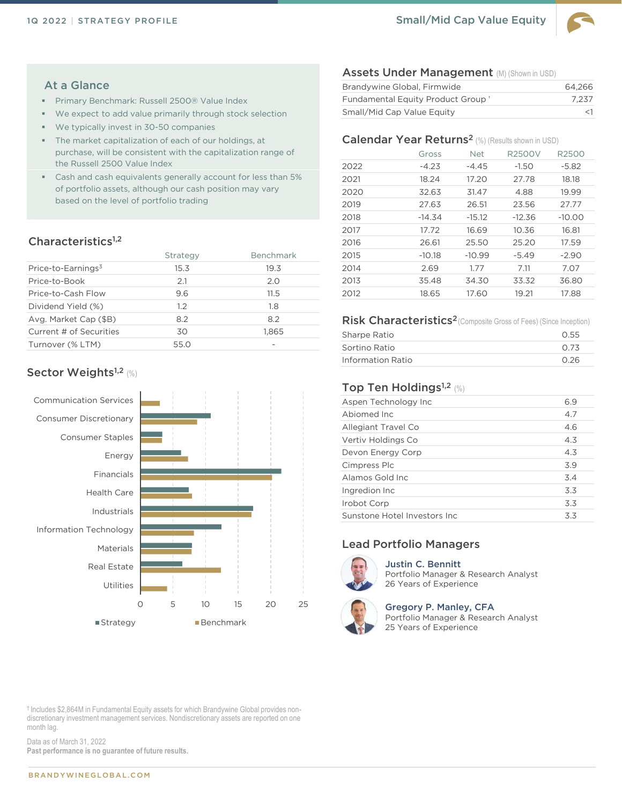

#### At a Glance

- Primary Benchmark: Russell 2500® Value Index
- We expect to add value primarily through stock selection
- We typically invest in 30-50 companies
- The market capitalization of each of our holdings, at purchase, will be consistent with the capitalization range of the Russell 2500 Value Index
- Cash and cash equivalents generally account for less than 5% of portfolio assets, although our cash position may vary based on the level of portfolio trading

## Characteristics<sup>1,2</sup>

|                                | Strategy | <b>Benchmark</b> |
|--------------------------------|----------|------------------|
| Price-to-Earnings <sup>3</sup> | 15.3     | 19.3             |
| Price-to-Book                  | 2.1      | 2.0              |
| Price-to-Cash Flow             | 9.6      | 11.5             |
| Dividend Yield (%)             | 1.2      | 1.8              |
| Avg. Market Cap (\$B)          | 8.2      | 8.2              |
| Current # of Securities        | 30       | 1.865            |
| Turnover (% LTM)               | 55.0     |                  |
|                                |          |                  |

## Sector Weights<sup>1,2</sup> (%)



† Includes \$2,864M in Fundamental Equity assets for which Brandywine Global provides nondiscretionary investment management services. Nondiscretionary assets are reported on one month lag.

Data as of March 31, 2022 **Past performance is no guarantee of future results.**

#### Assets Under Management (M) (Shown in USD)

| Brandywine Global, Firmwide      | 64.266 |
|----------------------------------|--------|
| Fundamental Equity Product Group | 7.237  |
| Small/Mid Cap Value Equity       |        |

## Calendar Year Returns<sup>2</sup> (%) (Results shown in USD)

|      | Gross    | <b>Net</b> | R2500V   | R2500    |
|------|----------|------------|----------|----------|
| 2022 | $-4.23$  | $-4.45$    | $-1.50$  | $-5.82$  |
| 2021 | 18.24    | 17.20      | 27.78    | 18.18    |
| 2020 | 32.63    | 31.47      | 4.88     | 19.99    |
| 2019 | 27.63    | 26.51      | 23.56    | 27.77    |
| 2018 | $-14.34$ | $-15.12$   | $-12.36$ | $-10.00$ |
| 2017 | 17.72    | 16.69      | 10.36    | 16.81    |
| 2016 | 26.61    | 25.50      | 25.20    | 17.59    |
| 2015 | $-10.18$ | $-10.99$   | $-5.49$  | $-2.90$  |
| 2014 | 2.69     | 1.77       | 7.11     | 7.07     |
| 2013 | 35.48    | 34.30      | 33.32    | 36.80    |
| 2012 | 18.65    | 17.60      | 19.21    | 17.88    |

### Risk Characteristics<sup>2</sup> (Composite Gross of Fees) (Since Inception)

| Sharpe Ratio      | 0.55 |
|-------------------|------|
| Sortino Ratio     | 0.73 |
| Information Ratio | 0.26 |

## Top Ten Holdings<sup>1,2</sup> (%)

| Aspen Technology Inc          | 6.9 |
|-------------------------------|-----|
| Abjomed Inc.                  | 4.7 |
| Allegiant Travel Co           | 4.6 |
| Vertiv Holdings Co            | 4.3 |
| Devon Energy Corp             | 4.3 |
| Cimpress Plc                  | 3.9 |
| Alamos Gold Inc               | 3.4 |
| Ingredion Inc                 | 3.3 |
| Irobot Corp                   | 3.3 |
| Sunstone Hotel Investors Inc. | 3.3 |
|                               |     |

# Lead Portfolio Managers



Justin C. Bennitt Portfolio Manager & Research Analyst 26 Years of Experience



#### Gregory P. Manley, CFA Portfolio Manager & Research Analyst

25 Years of Experience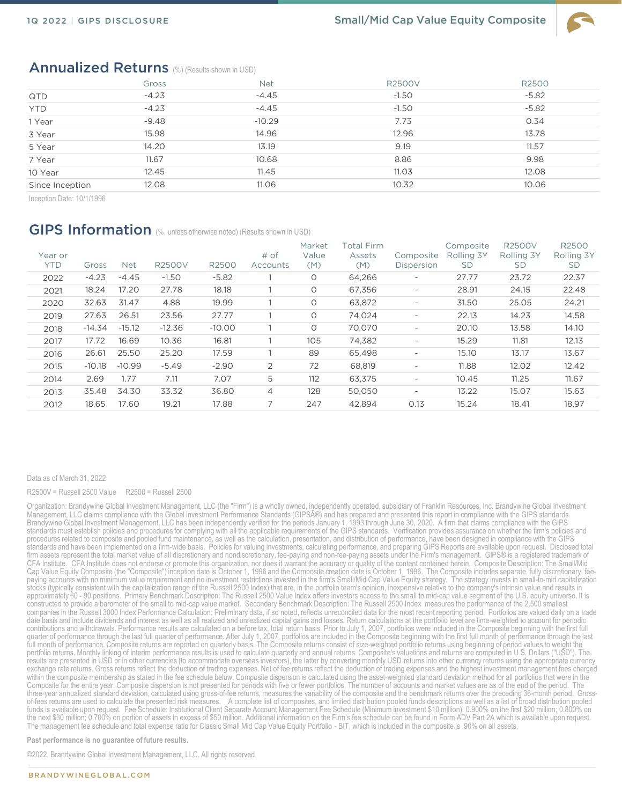

# Annualized Returns (%) (Results shown in USD)

|                 | Gross   | <b>Net</b> | <b>R2500V</b> | R2500   |
|-----------------|---------|------------|---------------|---------|
| QTD             | $-4.23$ | $-4.45$    | $-1.50$       | $-5.82$ |
| <b>YTD</b>      | $-4.23$ | $-4.45$    | $-1.50$       | $-5.82$ |
| 1 Year          | $-9.48$ | $-10.29$   | 7.73          | 0.34    |
| 3 Year          | 15.98   | 14.96      | 12.96         | 13.78   |
| 5 Year          | 14.20   | 13.19      | 9.19          | 11.57   |
| 7 Year          | 11.67   | 10.68      | 8.86          | 9.98    |
| 10 Year         | 12.45   | 11.45      | 11.03         | 12.08   |
| Since Inception | 12.08   | 11.06      | 10.32         | 10.06   |

Inception Date: 10/1/1996

# GIPS Information (%, unless otherwise noted) (Results shown in USD)

| Year or<br><b>YTD</b> | Gross    | <b>Net</b> | <b>R2500V</b> | R2500    | $#$ of<br>Accounts | Market<br>Value<br>(M) | Total Firm<br>Assets<br>(M) | Composite<br>Dispersion  | Composite<br>Rolling 3Y<br><b>SD</b> | <b>R2500V</b><br>Rolling 3Y<br><b>SD</b> | R2500<br>Rolling 3Y<br><b>SD</b> |
|-----------------------|----------|------------|---------------|----------|--------------------|------------------------|-----------------------------|--------------------------|--------------------------------------|------------------------------------------|----------------------------------|
| 2022                  | $-4.23$  | $-4.45$    | $-1.50$       | $-5.82$  |                    | $\circ$                | 64,266                      | $\overline{\phantom{a}}$ | 27.77                                | 23.72                                    | 22.37                            |
| 2021                  | 18.24    | 17.20      | 27.78         | 18.18    |                    | $\circ$                | 67,356                      | $\overline{\phantom{a}}$ | 28.91                                | 24.15                                    | 22.48                            |
| 2020                  | 32.63    | 31.47      | 4.88          | 19.99    |                    | $\circ$                | 63,872                      | -                        | 31.50                                | 25.05                                    | 24.21                            |
| 2019                  | 27.63    | 26.51      | 23.56         | 27.77    |                    | $\circ$                | 74,024                      | $\overline{\phantom{a}}$ | 22.13                                | 14.23                                    | 14.58                            |
| 2018                  | $-14.34$ | $-15.12$   | $-12.36$      | $-10.00$ |                    | $\circ$                | 70.070                      | $\overline{\phantom{a}}$ | 20.10                                | 13.58                                    | 14.10                            |
| 2017                  | 17.72    | 16.69      | 10.36         | 16.81    |                    | 105                    | 74.382                      | -                        | 15.29                                | 11.81                                    | 12.13                            |
| 2016                  | 26.61    | 25.50      | 25.20         | 17.59    |                    | 89                     | 65,498                      | $\overline{\phantom{a}}$ | 15.10                                | 13.17                                    | 13.67                            |
| 2015                  | $-10.18$ | $-10.99$   | $-5.49$       | $-2.90$  | 2                  | 72                     | 68,819                      | -                        | 11.88                                | 12.02                                    | 12.42                            |
| 2014                  | 2.69     | 1.77       | 7.11          | 7.07     | 5                  | 112                    | 63,375                      | $\overline{\phantom{a}}$ | 10.45                                | 11.25                                    | 11.67                            |
| 2013                  | 35.48    | 34.30      | 33.32         | 36.80    | $\overline{4}$     | 128                    | 50.050                      | $\overline{\phantom{a}}$ | 13.22                                | 15.07                                    | 15.63                            |
| 2012                  | 18.65    | 17.60      | 19.21         | 17.88    | 7                  | 247                    | 42.894                      | 0.13                     | 15.24                                | 18.41                                    | 18.97                            |
|                       |          |            |               |          |                    |                        |                             |                          |                                      |                                          |                                  |

#### Data as of March 31, 2022

R2500V = Russell 2500 Value R2500 = Russell 2500

Organization: Brandywine Global Investment Management, LLC (the "Firm") is a wholly owned, independently operated, subsidiary of Franklin Resources, Inc. Brandywine Global Investment Management, LLC claims compliance with the Global investment Performance Standards (GIPSî) and has prepared and presented this report in compliance with the GIPS standards.<br>Brandywine Global Investment Management, LLC has standards must establish policies and procedures for complying with all the applicable requirements of the GIPS standards. Verification provides assurance on whether the firm's policies and procedures related to composite and pooled fund maintenance, as well as the calculation, presentation, and distribution of performance, have been designed in compliance with the GIPS standards and have been implemented on a firm-wide basis. Policies for valuing investments, calculating performance, and preparing GIPS Reports are available upon request. Disclosed total firm assets represent the total market value of all discretionary and nondiscretionary, fee-paying and non-fee-paying assets under the Firm's management. GIPS® is a registered trademark of CFA Institute. CFA Institute does not endorse or promote this organization, nor does it warrant the accuracy or quality of the content contained herein. Composite Description: The Small/Mid<br>Cap Value Equity Composite (the paying accounts with no minimum value requirement and no investment restrictions invested in the firm's Small/Mid Cap Value Equity strategy. The strategy invests in small-to-mid capitalization stocks (typically consistent with the capitalization range of the Russell 2500 Index) that are, in the portfolio team's opinion, inexpensive relative to the company's intrinsic value and results in<br>approximately 60 - 90 po constructed to provide a barometer of the small to mid-cap value market. Secondary Benchmark Description: The Russell 2500 Index measures the performance of the 2,500 smallest companies in the Russell 3000 Index Performance Calculation: Preliminary data, if so noted, reflects unreconciled data for the most recent reporting period. Portfolios are valued daily on a trade<br>date basis and include div contributions and withdrawals. Performance results are calculated on a before tax, total return basis. Prior to July 1, 2007, portfolios were included in the Composite beginning with the first full quarter of performance through the last full quarter of performance. After July 1, 2007, portfolios are included in the Composite beginning with the first full month of performance through the last<br>full month of performanc portfolio returns. Monthly linking of interim performance results is used to calculate quarterly and annual returns. Composite's valuations and returns are computed in U.S. Dollars ("USD"). The results are presented in USD or in other currencies (to accommodate overseas investors), the latter by converting monthly USD returns into other currency returns using the appropriate currency<br>exchange rate returns. Gross within the composite membership as stated in the fee schedule below. Composite dispersion is calculated using the asset-weighted standard deviation method for all portfolios that were in the Composite for the entire year. Composite dispersion is not presented for periods with five or fewer portfolios. The number of accounts and market values are as of the end of the period. The<br>three-year annualized standard d of-fees returns are used to calculate the presented risk measures. A complete list of composites, and limited distribution pooled funds descriptions as well as a list of broad distribution pooled funds is available upon request. Fee Schedule: Institutional Client Separate Account Management Fee Schedule (Minimum investment \$10 million): 0.900% on the first \$20 million; 0.800% on<br>the next \$30 million; 0.700% on port The management fee schedule and total expense ratio for Classic Small Mid Cap Value Equity Portfolio - BIT, which is included in the composite is .90% on all assets.

**Past performance is no guarantee of future results.** 

©2022, Brandywine Global Investment Management, LLC. All rights reserved